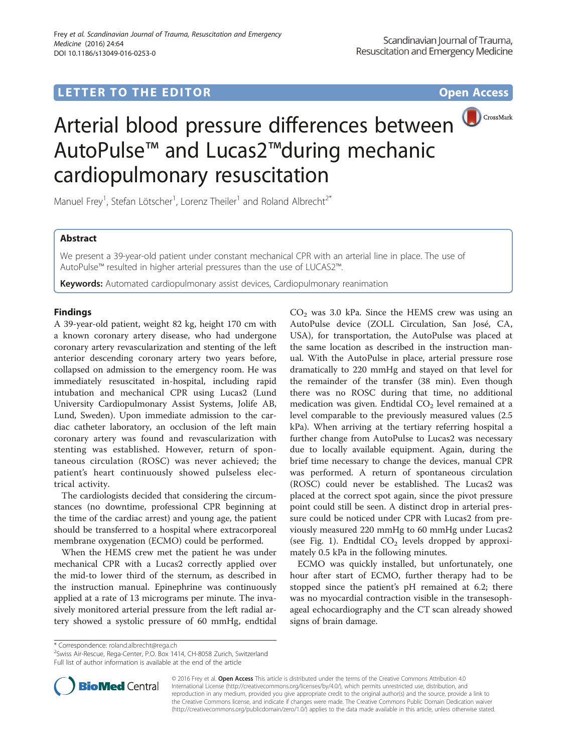## LETTER TO THE EDITOR **CONSIDERING ACCESS**



# Arterial blood pressure differences between AutoPulse™ and Lucas2™during mechanic cardiopulmonary resuscitation

Manuel Frey<sup>1</sup>, Stefan Lötscher<sup>1</sup>, Lorenz Theiler<sup>1</sup> and Roland Albrecht<sup>2\*</sup>

## Abstract

We present a 39-year-old patient under constant mechanical CPR with an arterial line in place. The use of AutoPulse™ resulted in higher arterial pressures than the use of LUCAS2™.

Keywords: Automated cardiopulmonary assist devices, Cardiopulmonary reanimation

## Findings

A 39-year-old patient, weight 82 kg, height 170 cm with a known coronary artery disease, who had undergone coronary artery revascularization and stenting of the left anterior descending coronary artery two years before, collapsed on admission to the emergency room. He was immediately resuscitated in-hospital, including rapid intubation and mechanical CPR using Lucas2 (Lund University Cardiopulmonary Assist Systems, Jolife AB, Lund, Sweden). Upon immediate admission to the cardiac catheter laboratory, an occlusion of the left main coronary artery was found and revascularization with stenting was established. However, return of spontaneous circulation (ROSC) was never achieved; the patient's heart continuously showed pulseless electrical activity.

The cardiologists decided that considering the circumstances (no downtime, professional CPR beginning at the time of the cardiac arrest) and young age, the patient should be transferred to a hospital where extracorporeal membrane oxygenation (ECMO) could be performed.

When the HEMS crew met the patient he was under mechanical CPR with a Lucas2 correctly applied over the mid-to lower third of the sternum, as described in the instruction manual. Epinephrine was continuously applied at a rate of 13 micrograms per minute. The invasively monitored arterial pressure from the left radial artery showed a systolic pressure of 60 mmHg, endtidal  $CO<sub>2</sub>$  was 3.0 kPa. Since the HEMS crew was using an AutoPulse device (ZOLL Circulation, San José, CA, USA), for transportation, the AutoPulse was placed at the same location as described in the instruction manual. With the AutoPulse in place, arterial pressure rose dramatically to 220 mmHg and stayed on that level for the remainder of the transfer (38 min). Even though there was no ROSC during that time, no additional medication was given. Endtidal  $CO<sub>2</sub>$  level remained at a level comparable to the previously measured values (2.5 kPa). When arriving at the tertiary referring hospital a further change from AutoPulse to Lucas2 was necessary due to locally available equipment. Again, during the brief time necessary to change the devices, manual CPR was performed. A return of spontaneous circulation (ROSC) could never be established. The Lucas2 was placed at the correct spot again, since the pivot pressure point could still be seen. A distinct drop in arterial pressure could be noticed under CPR with Lucas2 from previously measured 220 mmHg to 60 mmHg under Lucas2 (see Fig. [1](#page-1-0)). Endtidal  $CO<sub>2</sub>$  levels dropped by approximately 0.5 kPa in the following minutes.

ECMO was quickly installed, but unfortunately, one hour after start of ECMO, further therapy had to be stopped since the patient's pH remained at 6.2; there was no myocardial contraction visible in the transesophageal echocardiography and the CT scan already showed signs of brain damage.

\* Correspondence: [roland.albrecht@rega.ch](mailto:roland.albrecht@rega.ch) <sup>2</sup>

<sup>2</sup> Swiss Air-Rescue, Rega-Center, P.O. Box 1414, CH-8058 Zurich, Switzerland Full list of author information is available at the end of the article



© 2016 Frey et al. Open Access This article is distributed under the terms of the Creative Commons Attribution 4.0 International License [\(http://creativecommons.org/licenses/by/4.0/](http://creativecommons.org/licenses/by/4.0/)), which permits unrestricted use, distribution, and reproduction in any medium, provided you give appropriate credit to the original author(s) and the source, provide a link to the Creative Commons license, and indicate if changes were made. The Creative Commons Public Domain Dedication waiver [\(http://creativecommons.org/publicdomain/zero/1.0/](http://creativecommons.org/publicdomain/zero/1.0/)) applies to the data made available in this article, unless otherwise stated.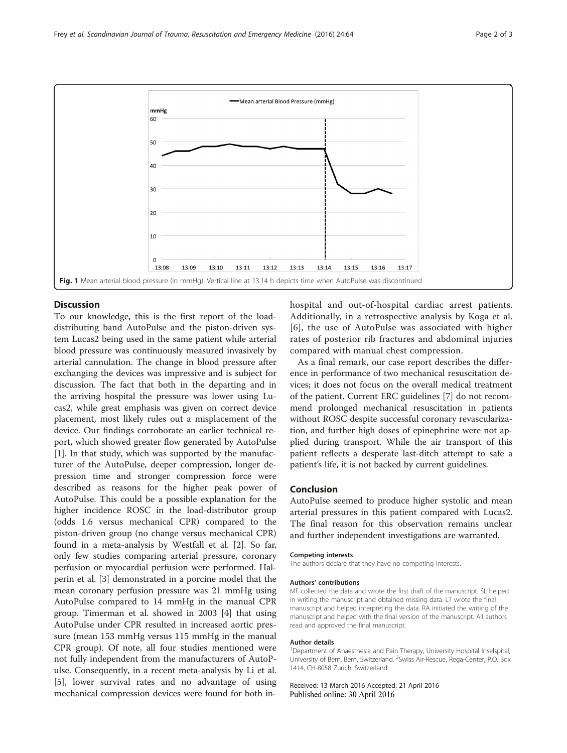<span id="page-1-0"></span>

#### Discussion

To our knowledge, this is the first report of the loaddistributing band AutoPulse and the piston-driven system Lucas2 being used in the same patient while arterial blood pressure was continuously measured invasively by arterial cannulation. The change in blood pressure after exchanging the devices was impressive and is subject for discussion. The fact that both in the departing and in the arriving hospital the pressure was lower using Lucas2, while great emphasis was given on correct device placement, most likely rules out a misplacement of the device. Our findings corroborate an earlier technical report, which showed greater flow generated by AutoPulse [[1\]](#page-2-0). In that study, which was supported by the manufacturer of the AutoPulse, deeper compression, longer depression time and stronger compression force were described as reasons for the higher peak power of AutoPulse. This could be a possible explanation for the higher incidence ROSC in the load-distributor group (odds 1.6 versus mechanical CPR) compared to the piston-driven group (no change versus mechanical CPR) found in a meta-analysis by Westfall et al. [\[2](#page-2-0)]. So far, only few studies comparing arterial pressure, coronary perfusion or myocardial perfusion were performed. Halperin et al. [\[3\]](#page-2-0) demonstrated in a porcine model that the mean coronary perfusion pressure was 21 mmHg using AutoPulse compared to 14 mmHg in the manual CPR group. Timerman et al. showed in 2003 [[4\]](#page-2-0) that using AutoPulse under CPR resulted in increased aortic pressure (mean 153 mmHg versus 115 mmHg in the manual CPR group). Of note, all four studies mentioned were not fully independent from the manufacturers of AutoPulse. Consequently, in a recent meta-analysis by Li et al. [[5\]](#page-2-0), lower survival rates and no advantage of using mechanical compression devices were found for both inhospital and out-of-hospital cardiac arrest patients. Additionally, in a retrospective analysis by Koga et al. [[6](#page-2-0)], the use of AutoPulse was associated with higher rates of posterior rib fractures and abdominal injuries compared with manual chest compression.

As a final remark, our case report describes the difference in performance of two mechanical resuscitation devices; it does not focus on the overall medical treatment of the patient. Current ERC guidelines [\[7](#page-2-0)] do not recommend prolonged mechanical resuscitation in patients without ROSC despite successful coronary revascularization, and further high doses of epinephrine were not applied during transport. While the air transport of this patient reflects a desperate last-ditch attempt to safe a patient's life, it is not backed by current guidelines.

#### Conclusion

AutoPulse seemed to produce higher systolic and mean arterial pressures in this patient compared with Lucas2. The final reason for this observation remains unclear and further independent investigations are warranted.

#### Competing interests

The authors declare that they have no competing interests.

#### Authors' contributions

MF collected the data and wrote the first draft of the manuscript. SL helped in writing the manuscript and obtained missing data. LT wrote the final manuscript and helped interpreting the data. RA initiated the writing of the manuscript and helped with the final version of the manuscript. All authors read and approved the final manuscript.

#### Author details

<sup>1</sup>Department of Anaesthesia and Pain Therapy, University Hospital Inselspital University of Bern, Bern, Switzerland. <sup>2</sup>Swiss Air-Rescue, Rega-Center, P.O. Box 1414, CH-8058 Zurich, Switzerland.

Received: 13 March 2016 Accepted: 21 April 2016 Published online: 30 April 2016